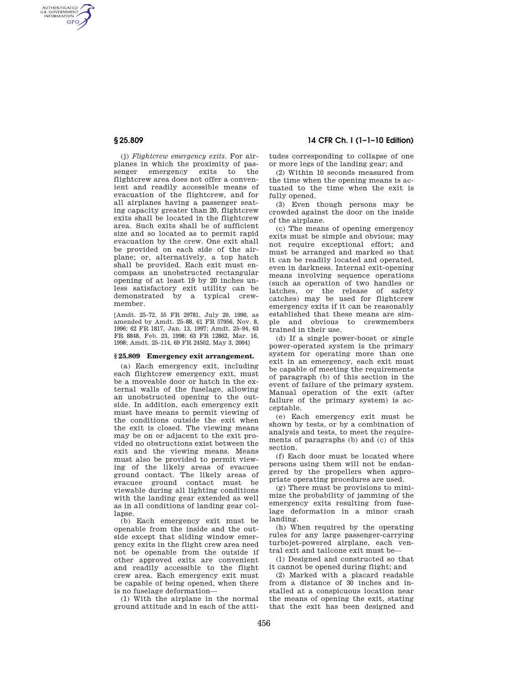AUTHENTICATED<br>U.S. GOVERNMENT<br>INFORMATION **GPO** 

> (j) *Flightcrew emergency exits.* For airplanes in which the proximity of passenger emergency exits to the flightcrew area does not offer a convenient and readily accessible means of evacuation of the flightcrew, and for all airplanes having a passenger seating capacity greater than 20, flightcrew exits shall be located in the flightcrew area. Such exits shall be of sufficient size and so located as to permit rapid evacuation by the crew. One exit shall be provided on each side of the airplane; or, alternatively, a top hatch shall be provided. Each exit must encompass an unobstructed rectangular opening of at least 19 by 20 inches unless satisfactory exit utility can be demonstrated by a typical crewmember.

> [Amdt. 25–72, 55 FR 29781, July 20, 1990, as amended by Amdt. 25–88, 61 FR 57956, Nov. 8, 1996; 62 FR 1817, Jan. 13, 1997; Amdt. 25–94, 63 FR 8848, Feb. 23, 1998; 63 FR 12862, Mar. 16, 1998; Amdt. 25–114, 69 FR 24502, May 3, 2004]

## **§ 25.809 Emergency exit arrangement.**

(a) Each emergency exit, including each flightcrew emergency exit, must be a moveable door or hatch in the external walls of the fuselage, allowing an unobstructed opening to the outside. In addition, each emergency exit must have means to permit viewing of the conditions outside the exit when the exit is closed. The viewing means may be on or adjacent to the exit provided no obstructions exist between the exit and the viewing means. Means must also be provided to permit viewing of the likely areas of evacuee ground contact. The likely areas of evacuee ground contact must be viewable during all lighting conditions with the landing gear extended as well as in all conditions of landing gear collapse.

(b) Each emergency exit must be openable from the inside and the outside except that sliding window emergency exits in the flight crew area need not be openable from the outside if other approved exits are convenient and readily accessible to the flight crew area. Each emergency exit must be capable of being opened, when there is no fuselage deformation—

(1) With the airplane in the normal ground attitude and in each of the atti-

# **§ 25.809 14 CFR Ch. I (1–1–10 Edition)**

tudes corresponding to collapse of one or more legs of the landing gear; and

(2) Within 10 seconds measured from the time when the opening means is actuated to the time when the exit is fully opened.

(3) Even though persons may be crowded against the door on the inside of the airplane.

(c) The means of opening emergency exits must be simple and obvious; may not require exceptional effort; and must be arranged and marked so that it can be readily located and operated, even in darkness. Internal exit-opening means involving sequence operations (such as operation of two handles or latches, or the release of safety catches) may be used for flightcrew emergency exits if it can be reasonably established that these means are simple and obvious to crewmembers trained in their use.

(d) If a single power-boost or single power-operated system is the primary system for operating more than one exit in an emergency, each exit must be capable of meeting the requirements of paragraph (b) of this section in the event of failure of the primary system. Manual operation of the exit (after failure of the primary system) is acceptable.

(e) Each emergency exit must be shown by tests, or by a combination of analysis and tests, to meet the requirements of paragraphs (b) and (c) of this section.

(f) Each door must be located where persons using them will not be endangered by the propellers when appropriate operating procedures are used.

(g) There must be provisions to minimize the probability of jamming of the emergency exits resulting from fuselage deformation in a minor crash landing.

(h) When required by the operating rules for any large passenger-carrying turbojet-powered airplane, each ventral exit and tailcone exit must be—

(1) Designed and constructed so that it cannot be opened during flight; and

(2) Marked with a placard readable from a distance of 30 inches and installed at a conspicuous location near the means of opening the exit, stating that the exit has been designed and